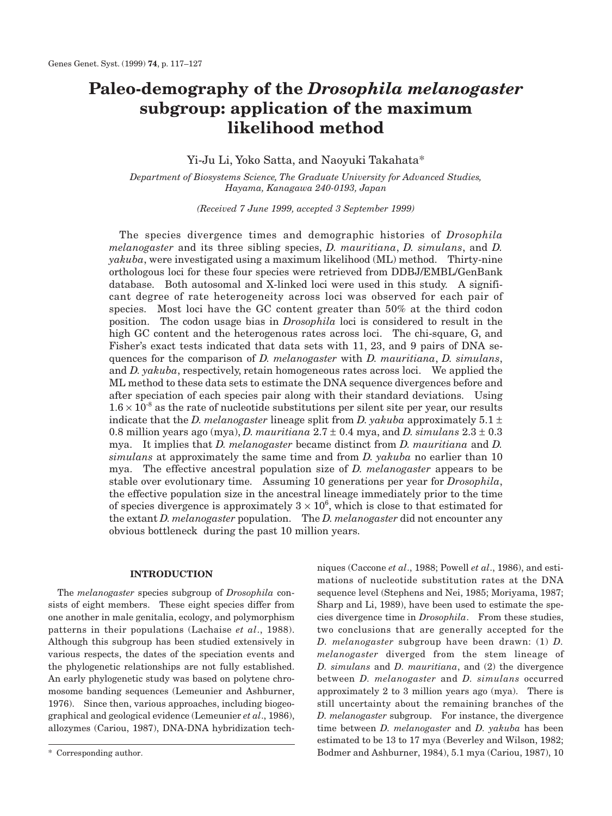# **Paleo-demography of the** *Drosophila melanogaster* **subgroup: application of the maximum likelihood method**

Yi-Ju Li, Yoko Satta, and Naoyuki Takahata\*

*Department of Biosystems Science, The Graduate University for Advanced Studies, Hayama, Kanagawa 240-0193, Japan*

*(Received 7 June 1999, accepted 3 September 1999)*

The species divergence times and demographic histories of *Drosophila melanogaster* and its three sibling species, *D. mauritiana*, *D. simulans*, and *D. yakuba*, were investigated using a maximum likelihood (ML) method. Thirty-nine orthologous loci for these four species were retrieved from DDBJ/EMBL/GenBank database. Both autosomal and X-linked loci were used in this study. A significant degree of rate heterogeneity across loci was observed for each pair of species. Most loci have the GC content greater than 50% at the third codon position. The codon usage bias in *Drosophila* loci is considered to result in the high GC content and the heterogenous rates across loci. The chi-square, G, and Fisher's exact tests indicated that data sets with 11, 23, and 9 pairs of DNA sequences for the comparison of *D. melanogaster* with *D. mauritiana*, *D. simulans*, and *D. yakuba*, respectively, retain homogeneous rates across loci. We applied the ML method to these data sets to estimate the DNA sequence divergences before and after speciation of each species pair along with their standard deviations. Using  $1.6 \times 10^{-8}$  as the rate of nucleotide substitutions per silent site per year, our results indicate that the *D. melanogaster* lineage split from *D. yakuba* approximately 5.1  $\pm$ 0.8 million years ago (mya), *D. mauritiana* 2.7 ± 0.4 mya, and *D. simulans* 2.3 ± 0.3 mya. It implies that *D. melanogaster* became distinct from *D. mauritiana* and *D. simulans* at approximately the same time and from *D. yakuba* no earlier than 10 mya. The effective ancestral population size of *D. melanogaster* appears to be stable over evolutionary time. Assuming 10 generations per year for *Drosophila*, the effective population size in the ancestral lineage immediately prior to the time of species divergence is approximately  $3 \times 10^6$ , which is close to that estimated for the extant *D. melanogaster* population. The *D. melanogaster* did not encounter any obvious bottleneck during the past 10 million years.

#### **INTRODUCTION**

The *melanogaster* species subgroup of *Drosophila* consists of eight members. These eight species differ from one another in male genitalia, ecology, and polymorphism patterns in their populations (Lachaise *et al*., 1988). Although this subgroup has been studied extensively in various respects, the dates of the speciation events and the phylogenetic relationships are not fully established. An early phylogenetic study was based on polytene chromosome banding sequences (Lemeunier and Ashburner, 1976). Since then, various approaches, including biogeographical and geological evidence (Lemeunier *et al*., 1986), allozymes (Cariou, 1987), DNA-DNA hybridization techniques (Caccone *et al*., 1988; Powell *et al*., 1986), and estimations of nucleotide substitution rates at the DNA sequence level (Stephens and Nei, 1985; Moriyama, 1987; Sharp and Li, 1989), have been used to estimate the species divergence time in *Drosophila*. From these studies, two conclusions that are generally accepted for the *D. melanogaster* subgroup have been drawn: (1) *D. melanogaster* diverged from the stem lineage of *D. simulans* and *D. mauritiana*, and (2) the divergence between *D. melanogaster* and *D. simulans* occurred approximately 2 to 3 million years ago (mya). There is still uncertainty about the remaining branches of the *D. melanogaster* subgroup. For instance, the divergence time between *D. melanogaster* and *D. yakuba* has been estimated to be 13 to 17 mya (Beverley and Wilson, 1982; Bodmer and Ashburner, 1984), 5.1 mya (Cariou, 1987), 10

<sup>\*</sup> Corresponding author.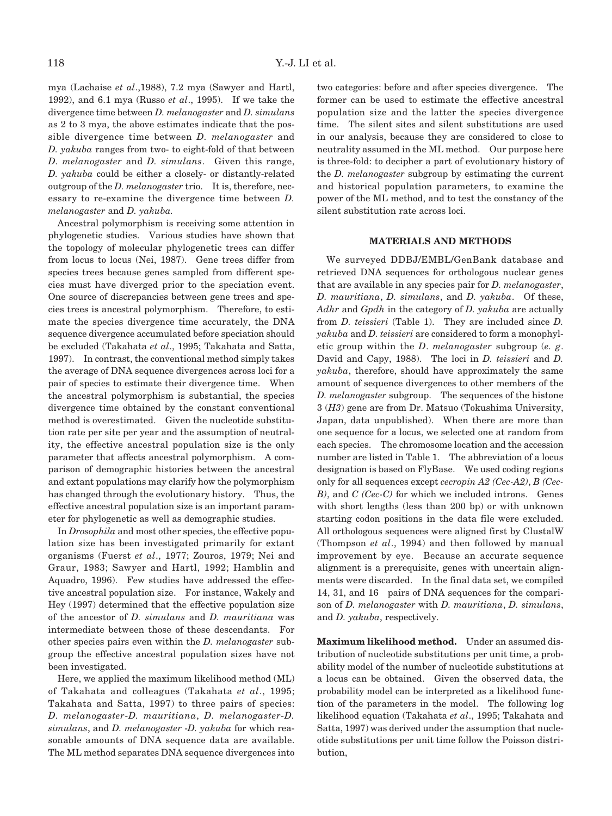mya (Lachaise *et al*.,1988), 7.2 mya (Sawyer and Hartl, 1992), and 6.1 mya (Russo *et al*., 1995). If we take the divergence time between *D. melanogaster* and *D. simulans* as 2 to 3 mya, the above estimates indicate that the possible divergence time between *D. melanogaster* and *D. yakuba* ranges from two- to eight-fold of that between *D. melanogaster* and *D. simulans*. Given this range, *D. yakuba* could be either a closely- or distantly-related outgroup of the *D. melanogaster* trio. It is, therefore, necessary to re-examine the divergence time between *D. melanogaster* and *D. yakuba.*

Ancestral polymorphism is receiving some attention in phylogenetic studies. Various studies have shown that the topology of molecular phylogenetic trees can differ from locus to locus (Nei, 1987). Gene trees differ from species trees because genes sampled from different species must have diverged prior to the speciation event. One source of discrepancies between gene trees and species trees is ancestral polymorphism. Therefore, to estimate the species divergence time accurately, the DNA sequence divergence accumulated before speciation should be excluded (Takahata *et al*., 1995; Takahata and Satta, 1997). In contrast, the conventional method simply takes the average of DNA sequence divergences across loci for a pair of species to estimate their divergence time. When the ancestral polymorphism is substantial, the species divergence time obtained by the constant conventional method is overestimated. Given the nucleotide substitution rate per site per year and the assumption of neutrality, the effective ancestral population size is the only parameter that affects ancestral polymorphism. A comparison of demographic histories between the ancestral and extant populations may clarify how the polymorphism has changed through the evolutionary history. Thus, the effective ancestral population size is an important parameter for phylogenetic as well as demographic studies.

In *Drosophila* and most other species, the effective population size has been investigated primarily for extant organisms (Fuerst *et al*., 1977; Zouros, 1979; Nei and Graur, 1983; Sawyer and Hartl, 1992; Hamblin and Aquadro, 1996). Few studies have addressed the effective ancestral population size. For instance, Wakely and Hey (1997) determined that the effective population size of the ancestor of *D. simulans* and *D. mauritiana* was intermediate between those of these descendants. For other species pairs even within the *D. melanogaster* subgroup the effective ancestral population sizes have not been investigated.

Here, we applied the maximum likelihood method (ML) of Takahata and colleagues (Takahata *et al*., 1995; Takahata and Satta, 1997) to three pairs of species: *D. melanogaster*-*D. mauritiana*, *D. melanogaster*-*D. simulans*, and *D. melanogaster* -*D. yakuba* for which reasonable amounts of DNA sequence data are available. The ML method separates DNA sequence divergences into two categories: before and after species divergence. The former can be used to estimate the effective ancestral population size and the latter the species divergence time. The silent sites and silent substitutions are used in our analysis, because they are considered to close to neutrality assumed in the ML method. Our purpose here is three-fold: to decipher a part of evolutionary history of the *D. melanogaster* subgroup by estimating the current and historical population parameters, to examine the power of the ML method, and to test the constancy of the silent substitution rate across loci.

## **MATERIALS AND METHODS**

We surveyed DDBJ/EMBL/GenBank database and retrieved DNA sequences for orthologous nuclear genes that are available in any species pair for *D. melanogaster*, *D. mauritiana*, *D. simulans*, and *D. yakuba*. Of these, *Adhr* and *Gpdh* in the category of *D. yakuba* are actually from *D. teissieri* (Table 1). They are included since *D. yakuba* and *D. teissieri* are considered to form a monophyletic group within the *D*. *melanogaster* subgroup (*e. g*. David and Capy, 1988). The loci in *D. teissieri* and *D. yakuba*, therefore, should have approximately the same amount of sequence divergences to other members of the *D. melanogaster* subgroup. The sequences of the histone 3 (*H3*) gene are from Dr. Matsuo (Tokushima University, Japan, data unpublished). When there are more than one sequence for a locus, we selected one at random from each species. The chromosome location and the accession number are listed in Table 1. The abbreviation of a locus designation is based on FlyBase. We used coding regions only for all sequences except *cecropin A2 (Cec-A2)*, *B (Cec-B)*, and *C (Cec-C)* for which we included introns. Genes with short lengths (less than 200 bp) or with unknown starting codon positions in the data file were excluded. All orthologous sequences were aligned first by ClustalW (Thompson *et al*., 1994) and then followed by manual improvement by eye. Because an accurate sequence alignment is a prerequisite, genes with uncertain alignments were discarded. In the final data set, we compiled 14, 31, and 16 pairs of DNA sequences for the comparison of *D. melanogaster* with *D. mauritiana*, *D. simulans*, and *D. yakuba*, respectively.

**Maximum likelihood method.** Under an assumed distribution of nucleotide substitutions per unit time, a probability model of the number of nucleotide substitutions at a locus can be obtained. Given the observed data, the probability model can be interpreted as a likelihood function of the parameters in the model. The following log likelihood equation (Takahata *et al*., 1995; Takahata and Satta, 1997) was derived under the assumption that nucleotide substitutions per unit time follow the Poisson distribution,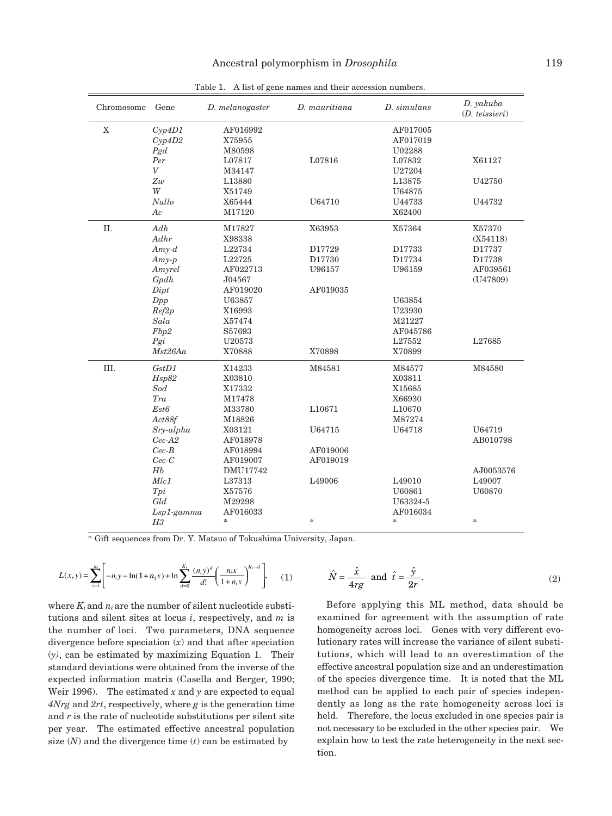| Chromosome  | Gene               | D. melanogaster | D. mauritiana | D. simulans   | D. yakuba<br>(D. teissieri) |
|-------------|--------------------|-----------------|---------------|---------------|-----------------------------|
| $\mathbf X$ | Cyp4D1             | AF016992        |               | AF017005      |                             |
|             | Cyp4D2             | X75955          |               | AF017019      |                             |
|             | Pgd                | M80598          |               | U02288        |                             |
|             | Per                | L07817          | L07816        | L07832        | X61127                      |
|             | $\bar{V}$          | M34147          |               | U27204        |                             |
|             | Zw                 | L13880          |               | L13875        | U42750                      |
|             | W                  | X51749          |               | U64875        |                             |
|             | Nullo              | X65444          | U64710        | U44733        | U44732                      |
|             | Ac                 | M17120          |               | X62400        |                             |
| II.         | $Adh% \mathcal{A}$ | M17827          | X63953        | X57364        | X57370                      |
|             | Adhr               | X98338          |               |               | (X54118)                    |
|             | $Amy-d$            | L22734          | D17729        | D17733        | D17737                      |
|             | $Amy-p$            | L22725          | D17730        | D17734        | D17738                      |
|             | Amyrel             | AF022713        | U96157        | U96159        | AF039561                    |
|             | Gpdh               | J04567          |               |               | (U47809)                    |
|             | Dipt               | AF019020        | AF019035      |               |                             |
|             | Dpp                | U63857          |               | U63854        |                             |
|             | Ref2p              | X16993          |               | U23930        |                             |
|             | Sala               | X57474          |               | M21227        |                             |
|             | Fbp2               | S57693          |               | AF045786      |                             |
|             | Pgi                | U20573          |               | L27552        | L27685                      |
|             | Mst26Aa            | X70888          | X70898        | X70899        |                             |
| III.        | GstD1              | X14233          | M84581        | M84577        | M84580                      |
|             | Hsp82              | X03810          |               | X03811        |                             |
|             | Sod                | X17332          |               | X15685        |                             |
|             | Tra                | M17478          |               | X66930        |                             |
|             | Est <sub>6</sub>   | M33780          | L10671        | L10670        |                             |
|             | Act88f             | M18826          |               | M87274        |                             |
|             | Sry-alpha          | X03121          | U64715        | U64718        | U64719                      |
|             | $Cec-A2$           | AF018978        |               |               | AB010798                    |
|             | $Cec-B$            | AF018994        | AF019006      |               |                             |
|             | $Cec-C$            | AF019007        | AF019019      |               |                             |
|             | Hb                 | DMU17742        |               |               | AJ0053576                   |
|             | Mlc1               | L37313          | L49006        | L49010        | L49007                      |
|             | Tpi                | X57576          |               | U60861        | U60870                      |
|             | Gld                | M29298          |               | U63324-5      |                             |
|             | $Lsp1$ -gamma      | AF016033        |               | AF016034      |                             |
|             | H3                 | $\ast$          | $\frac{1}{2}$ | $\frac{1}{2}$ | $\ast$                      |

Table 1. A list of gene names and their accession numbers.

\* Gift sequences from Dr. Y. Matsuo of Tokushima University, Japan.

$$
L(x,y) = \sum_{i=1}^{m} \left[ -n_i y - \ln(1+n_i x) + \ln \sum_{d=0}^{K_i} \frac{(n_i y)^d}{d!} \left( \frac{n_i x}{1+n_i x} \right)^{K_i - d} \right],
$$
 (1)

where  $K_i$  and  $n_i$  are the number of silent nucleotide substitutions and silent sites at locus *i*, respectively, and *m* is the number of loci. Two parameters, DNA sequence divergence before speciation (*x*) and that after speciation (*y)*, can be estimated by maximizing Equation 1. Their standard deviations were obtained from the inverse of the expected information matrix (Casella and Berger, 1990; Weir 1996). The estimated  $x$  and  $y$  are expected to equal *4Nrg* and *2rt*, respectively, where *g* is the generation time and *r* is the rate of nucleotide substitutions per silent site per year. The estimated effective ancestral population size  $(N)$  and the divergence time  $(t)$  can be estimated by

$$
\hat{N} = \frac{\hat{x}}{4rg} \text{ and } \hat{t} = \frac{\hat{y}}{2r}.
$$
 (2)

Before applying this ML method, data should be examined for agreement with the assumption of rate homogeneity across loci. Genes with very different evolutionary rates will increase the variance of silent substitutions, which will lead to an overestimation of the effective ancestral population size and an underestimation of the species divergence time. It is noted that the ML method can be applied to each pair of species independently as long as the rate homogeneity across loci is held. Therefore, the locus excluded in one species pair is not necessary to be excluded in the other species pair. We explain how to test the rate heterogeneity in the next section.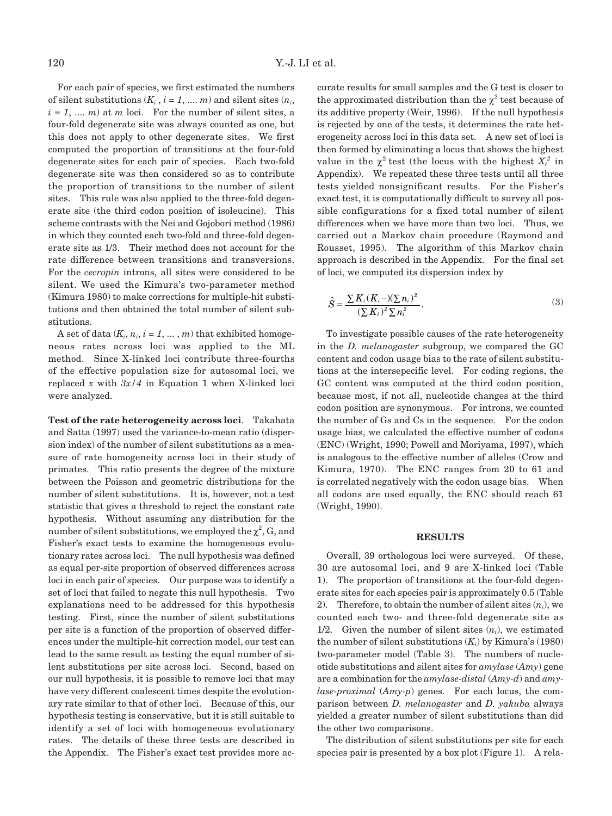For each pair of species, we first estimated the numbers of silent substitutions  $(K_i, i = 1, ..., m)$  and silent sites  $(n_i,$  $i = 1, \dots, m$  at *m* loci. For the number of silent sites, a four-fold degenerate site was always counted as one, but this does not apply to other degenerate sites. We first computed the proportion of transitions at the four-fold degenerate sites for each pair of species. Each two-fold degenerate site was then considered so as to contribute the proportion of transitions to the number of silent sites. This rule was also applied to the three-fold degenerate site (the third codon position of isoleucine). This scheme contrasts with the Nei and Gojobori method (1986) in which they counted each two-fold and three-fold degenerate site as 1/3. Their method does not account for the rate difference between transitions and transversions. For the *cecropin* introns, all sites were considered to be silent. We used the Kimura's two-parameter method (Kimura 1980) to make corrections for multiple-hit substitutions and then obtained the total number of silent substitutions.

A set of data  $(K_i, n_i, i = 1, \ldots, m)$  that exhibited homogeneous rates across loci was applied to the ML method. Since X-linked loci contribute three-fourths of the effective population size for autosomal loci, we replaced  $x$  with  $3x/4$  in Equation 1 when X-linked loci were analyzed.

**Test of the rate heterogeneity across loci**. Takahata and Satta (1997) used the variance-to-mean ratio (dispersion index) of the number of silent substitutions as a measure of rate homogeneity across loci in their study of primates. This ratio presents the degree of the mixture between the Poisson and geometric distributions for the number of silent substitutions. It is, however, not a test statistic that gives a threshold to reject the constant rate hypothesis. Without assuming any distribution for the number of silent substitutions, we employed the  $\chi^2$ , G, and Fisher's exact tests to examine the homogeneous evolutionary rates across loci. The null hypothesis was defined as equal per-site proportion of observed differences across loci in each pair of species. Our purpose was to identify a set of loci that failed to negate this null hypothesis. Two explanations need to be addressed for this hypothesis testing. First, since the number of silent substitutions per site is a function of the proportion of observed differences under the multiple-hit correction model, our test can lead to the same result as testing the equal number of silent substitutions per site across loci. Second, based on our null hypothesis, it is possible to remove loci that may have very different coalescent times despite the evolutionary rate similar to that of other loci. Because of this, our hypothesis testing is conservative, but it is still suitable to identify a set of loci with homogeneous evolutionary rates. The details of these three tests are described in the Appendix. The Fisher's exact test provides more accurate results for small samples and the G test is closer to the approximated distribution than the  $\chi^2$  test because of its additive property (Weir, 1996). If the null hypothesis is rejected by one of the tests, it determines the rate heterogeneity across loci in this data set. A new set of loci is then formed by eliminating a locus that shows the highest value in the  $\chi^2$  test (the locus with the highest  $X_i^2$  in Appendix). We repeated these three tests until all three tests yielded nonsignificant results. For the Fisher's exact test, it is computationally difficult to survey all possible configurations for a fixed total number of silent differences when we have more than two loci. Thus, we carried out a Markov chain procedure (Raymond and Rousset, 1995). The algorithm of this Markov chain approach is described in the Appendix. For the final set of loci, we computed its dispersion index by

$$
\hat{S} = \frac{\sum K_i (K_i -) (\sum n_i)^2}{(\sum K_i)^2 \sum n_i^2}.
$$
\n(3)

To investigate possible causes of the rate heterogeneity in the *D. melanogaster* subgroup, we compared the GC content and codon usage bias to the rate of silent substitutions at the intersepecific level. For coding regions, the GC content was computed at the third codon position, because most, if not all, nucleotide changes at the third codon position are synonymous. For introns, we counted the number of Gs and Cs in the sequence. For the codon usage bias, we calculated the effective number of codons (ENC) (Wright, 1990; Powell and Moriyama, 1997), which is analogous to the effective number of alleles (Crow and Kimura, 1970). The ENC ranges from 20 to 61 and is correlated negatively with the codon usage bias. When all codons are used equally, the ENC should reach 61 (Wright, 1990).

# **RESULTS**

Overall, 39 orthologous loci were surveyed. Of these, 30 are autosomal loci, and 9 are X-linked loci (Table 1). The proportion of transitions at the four-fold degenerate sites for each species pair is approximately 0.5 (Table 2). Therefore, to obtain the number of silent sites  $(n_i)$ , we counted each two- and three-fold degenerate site as 1/2. Given the number of silent sites  $(n_i)$ , we estimated the number of silent substitutions  $(K_i)$  by Kimura's (1980) two-parameter model (Table 3). The numbers of nucleotide substitutions and silent sites for *amylase* (*Amy*) gene are a combination for the *amylase-distal* (*Amy-d*) and *amylase-proximal* (*Amy-p*) genes. For each locus, the comparison between *D. melanogaster* and *D. yakuba* always yielded a greater number of silent substitutions than did the other two comparisons.

The distribution of silent substitutions per site for each species pair is presented by a box plot (Figure 1). A rela-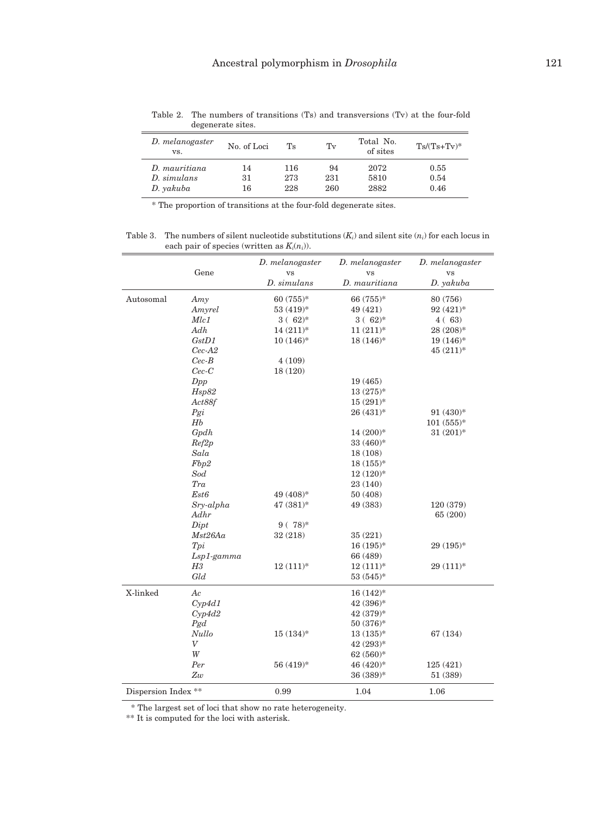| D. melanogaster<br>VS. | No. of Loci<br>Tv<br>Ts |     | Total No.<br>of sites | $Ts/(Ts+Tv)^*$ |      |
|------------------------|-------------------------|-----|-----------------------|----------------|------|
| D. mauritiana          | 14                      | 116 | 94                    | 2072           | 0.55 |
| D. simulans            | 31                      | 273 | 231                   | 5810           | 0.54 |
| D. yakuba              | 16                      | 228 | 260                   | 2882           | 0.46 |
|                        |                         |     |                       |                |      |

Table 2. The numbers of transitions (Ts) and transversions (Tv) at the four-fold degenerate sites

\* The proportion of transitions at the four-fold degenerate sites.

Table 3. The numbers of silent nucleotide substitutions (*Ki*) and silent site (*ni*) for each locus in each pair of species (written as  $K_i(n_i)$ ).

|                     |                  | D. melanogaster        | D. melanogaster | D. melanogaster |
|---------------------|------------------|------------------------|-----------------|-----------------|
|                     | Gene             | <b>VS</b>              | <b>VS</b>       | <b>VS</b>       |
|                     |                  | D. simulans            | D. mauritiana   | D. yakuba       |
| Autosomal           | Amy              | 60 $(755)*$            | 66 (755)*       | 80 (756)        |
|                     | Amyrel           | $53(419)$ *            | 49 (421)        | $92(421)^*$     |
|                     | Mlc1             | $3(.62)*$              | $3(62)*$        | 4(63)           |
|                     | Adh              | $14(211)*$             | $11(211)*$      | 28 (208)*       |
|                     | GstD1            | $10(146)$ <sup>*</sup> | $18(146)$ *     | $19(146)$ *     |
|                     | $Cec-A2$         |                        |                 | $45(211)*$      |
|                     | $Cec-B$          | 4(109)                 |                 |                 |
|                     | $Cec-C$          | 18 (120)               |                 |                 |
|                     | Dpp              |                        | 19(465)         |                 |
|                     | Hsp82            |                        | $13(275)*$      |                 |
|                     | Act88f           |                        | $15(291)$ *     |                 |
|                     | Pgi              |                        | $26(431)^*$     | $91(430)*$      |
|                     | Hb               |                        |                 | $101(555)*$     |
|                     | Gpdh             |                        | $14(200)*$      | $31(201)*$      |
|                     | Ref2p            |                        | $33(460)*$      |                 |
|                     | Sala             |                        | 18 (108)        |                 |
|                     | Fbp2             |                        | $18(155)*$      |                 |
|                     | Sod              |                        | $12(120)*$      |                 |
|                     | Tra              |                        | 23 (140)        |                 |
|                     | Est6             | 49 (408)*              | 50 (408)        |                 |
|                     | Sry-alpha        | 47 (381)*              | 49 (383)        | 120 (379)       |
|                     | Adhr             |                        |                 | 65 (200)        |
|                     | Dipt             | $9(.78)$ *             |                 |                 |
|                     | Mst26Aa          | 32 (218)               | 35(221)         |                 |
|                     | Tpi              |                        | $16(195)*$      | $29(195)*$      |
|                     | $Lsp1$ -gamma    |                        | 66 (489)        |                 |
|                     | Η3               | $12(111)*$             | $12(111)*$      | $29(111)*$      |
|                     | Gld              |                        | $53(545)$ *     |                 |
| X-linked            | Ac               |                        | $16(142)^*$     |                 |
|                     | Cyp4d1           |                        | 42 (396)*       |                 |
|                     | Cyp4d2           |                        | $42(379)*$      |                 |
|                     | Pgd              |                        | $50(376)*$      |                 |
|                     | Nullo            | $15(134)$ *            | $13(135)*$      | 67 (134)        |
|                     | $\boldsymbol{V}$ |                        | $42(293)*$      |                 |
|                     | W                |                        | $62(560)*$      |                 |
|                     | Per              | 56 (419)*              | 46 (420)*       | 125(421)        |
|                     | Zw               |                        | 36 (389)*       | 51 (389)        |
|                     |                  |                        |                 |                 |
| Dispersion Index ** |                  | 0.99                   | 1.04            | 1.06            |

\* The largest set of loci that show no rate heterogeneity.

\*\* It is computed for the loci with asterisk.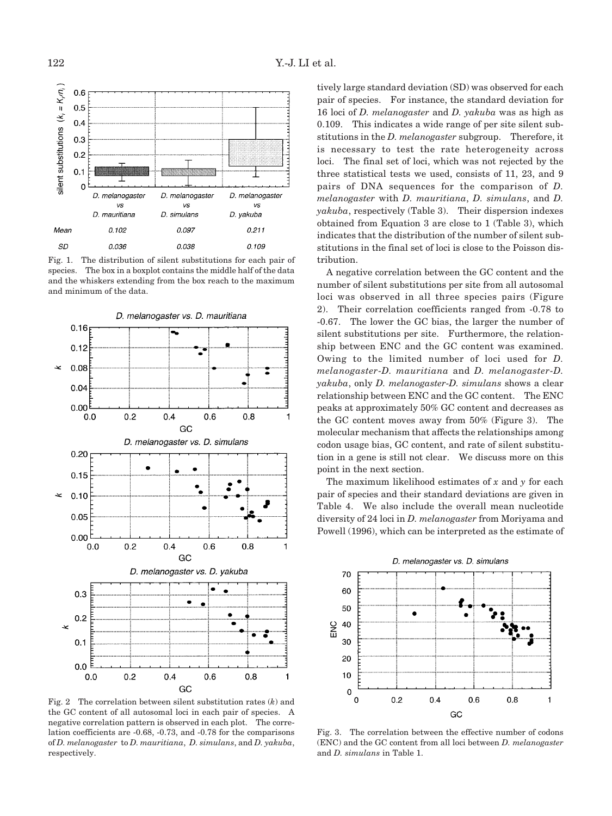

Fig. 1. The distribution of silent substitutions for each pair of species. The box in a boxplot contains the middle half of the data and the whiskers extending from the box reach to the maximum and minimum of the data.



Fig. 2 The correlation between silent substitution rates (*k*) and the GC content of all autosomal loci in each pair of species. A negative correlation pattern is observed in each plot. The correlation coefficients are -0.68, -0.73, and -0.78 for the comparisons of *D. melanogaster* to *D. mauritiana*, *D. simulans*, and *D. yakuba*, respectively.

tively large standard deviation (SD) was observed for each pair of species. For instance, the standard deviation for 16 loci of *D. melanogaster* and *D. yakuba* was as high as 0.109. This indicates a wide range of per site silent substitutions in the *D. melanogaster* subgroup. Therefore, it is necessary to test the rate heterogeneity across loci. The final set of loci, which was not rejected by the three statistical tests we used, consists of 11, 23, and 9 pairs of DNA sequences for the comparison of *D. melanogaster* with *D. mauritiana*, *D. simulans*, and *D. yakuba*, respectively (Table 3). Their dispersion indexes obtained from Equation 3 are close to 1 (Table 3), which indicates that the distribution of the number of silent substitutions in the final set of loci is close to the Poisson distribution.

A negative correlation between the GC content and the number of silent substitutions per site from all autosomal loci was observed in all three species pairs (Figure 2). Their correlation coefficients ranged from -0.78 to -0.67. The lower the GC bias, the larger the number of silent substitutions per site. Furthermore, the relationship between ENC and the GC content was examined. Owing to the limited number of loci used for *D. melanogaster*-*D. mauritiana* and *D. melanogaster*-*D. yakuba*, only *D. melanogaster*-*D. simulans* shows a clear relationship between ENC and the GC content. The ENC peaks at approximately 50% GC content and decreases as the GC content moves away from 50% (Figure 3). The molecular mechanism that affects the relationships among codon usage bias, GC content, and rate of silent substitution in a gene is still not clear. We discuss more on this point in the next section.

The maximum likelihood estimates of *x* and *y* for each pair of species and their standard deviations are given in Table 4. We also include the overall mean nucleotide diversity of 24 loci in *D. melanogaster* from Moriyama and Powell (1996), which can be interpreted as the estimate of



Fig. 3. The correlation between the effective number of codons (ENC) and the GC content from all loci between *D. melanogaster* and *D. simulans* in Table 1.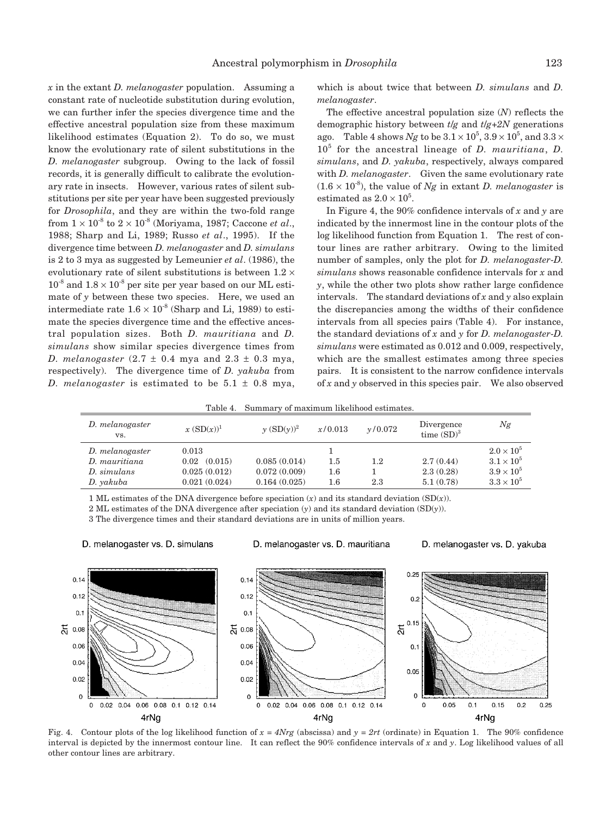*x* in the extant *D. melanogaster* population. Assuming a constant rate of nucleotide substitution during evolution, we can further infer the species divergence time and the effective ancestral population size from these maximum likelihood estimates (Equation 2). To do so, we must know the evolutionary rate of silent substitutions in the *D. melanogaster* subgroup. Owing to the lack of fossil records, it is generally difficult to calibrate the evolutionary rate in insects. However, various rates of silent substitutions per site per year have been suggested previously for *Drosophila*, and they are within the two-fold range from  $1 \times 10^{-8}$  to  $2 \times 10^{-8}$  (Moriyama, 1987; Caccone *et al.*, 1988; Sharp and Li, 1989; Russo *et al*., 1995). If the divergence time between *D. melanogaster* and *D. simulans* is 2 to 3 mya as suggested by Lemeunier *et al*. (1986), the evolutionary rate of silent substitutions is between  $1.2 \times$  $10^{-8}$  and  $1.8 \times 10^{-8}$  per site per year based on our ML estimate of  $y$  between these two species. Here, we used an intermediate rate  $1.6 \times 10^{-8}$  (Sharp and Li, 1989) to estimate the species divergence time and the effective ancestral population sizes. Both *D. mauritiana* and *D. simulans* show similar species divergence times from *D. melanogaster* (2.7 ± 0.4 mya and 2.3 ± 0.3 mya, respectively). The divergence time of *D. yakuba* from *D. melanogaster* is estimated to be  $5.1 \pm 0.8$  mya, which is about twice that between *D. simulans* and *D. melanogaster*.

The effective ancestral population size (*N*) reflects the demographic history between *t*/*g* and *t*/*g*+*2N* generations ago.  $\;$  Table 4 shows  $Ng$  to be  $3.1 \!\times\! 10^5, 3.9 \!\times\! 10^5,$  and  $3.3 \!\times\!$ 10<sup>5</sup> for the ancestral lineage of *D. mauritiana*, *D. simulans*, and *D. yakuba*, respectively, always compared with *D. melanogaster*. Given the same evolutionary rate  $(1.6 \times 10^{-8})$ , the value of *Ng* in extant *D. melanogaster* is estimated as  $2.0 \times 10^5$ .

In Figure 4, the 90% confidence intervals of *x* and *y* are indicated by the innermost line in the contour plots of the log likelihood function from Equation 1. The rest of contour lines are rather arbitrary. Owing to the limited number of samples, only the plot for *D. melanogaster*-*D. simulans* shows reasonable confidence intervals for *x* and *y*, while the other two plots show rather large confidence intervals. The standard deviations of *x* and *y* also explain the discrepancies among the widths of their confidence intervals from all species pairs (Table 4). For instance, the standard deviations of *x* and *y* for *D. melanogaster*-*D. simulans* were estimated as 0.012 and 0.009, respectively, which are the smallest estimates among three species pairs. It is consistent to the narrow confidence intervals of *x* and *y* observed in this species pair. We also observed

Table 4. Summary of maximum likelihood estimates.

| D. melanogaster<br>VS. | $x(SD(x))^1$    | $\gamma$ $(SD(\gamma))^2$ | x/0.013 | v/0.072 | Divergence<br>time $(SD)^3$ | Ng                |
|------------------------|-----------------|---------------------------|---------|---------|-----------------------------|-------------------|
| D. melanogaster        | 0.013           |                           |         |         |                             | $2.0\times10^5$   |
| D. mauritiana          | (0.015)<br>0.02 | 0.085(0.014)              | $1.5\,$ | 1.2     | 2.7(0.44)                   | $3.1 \times 10^5$ |
| D. simulans            | 0.025(0.012)    | 0.072(0.009)              | $1.6\,$ |         | 2.3(0.28)                   | $3.9 \times 10^5$ |
| D. yakuba              | 0.021(0.024)    | 0.164(0.025)              | $1.6\,$ | 2.3     | 5.1(0.78)                   | $3.3 \times 10^5$ |

1 ML estimates of the DNA divergence before speciation  $(x)$  and its standard deviation  $(SD(x))$ .

2 ML estimates of the DNA divergence after speciation (*y*) and its standard deviation (SD(*y*)).

3 The divergence times and their standard deviations are in units of million years.



D. melanogaster vs. D. simulans

### D. melanogaster vs. D. mauritiana





Fig. 4. Contour plots of the log likelihood function of  $x = 4Nrg$  (abscissa) and  $y = 2rt$  (ordinate) in Equation 1. The 90% confidence interval is depicted by the innermost contour line. It can reflect the 90% confidence intervals of *x* and *y*. Log likelihood values of all other contour lines are arbitrary.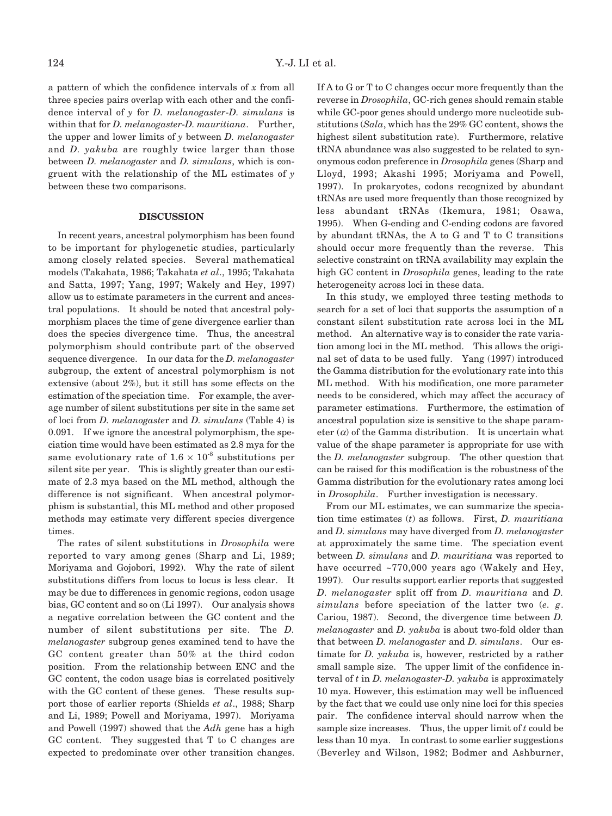a pattern of which the confidence intervals of *x* from all three species pairs overlap with each other and the confidence interval of *y* for *D. melanogaster*-*D. simulans* is within that for *D. melanogaster*-*D. mauritiana*. Further, the upper and lower limits of *y* between *D. melanogaster* and *D. yakuba* are roughly twice larger than those between *D. melanogaster* and *D. simulans*, which is congruent with the relationship of the ML estimates of *y* between these two comparisons.

#### **DISCUSSION**

In recent years, ancestral polymorphism has been found to be important for phylogenetic studies, particularly among closely related species. Several mathematical models (Takahata, 1986; Takahata *et al*., 1995; Takahata and Satta, 1997; Yang, 1997; Wakely and Hey, 1997) allow us to estimate parameters in the current and ancestral populations. It should be noted that ancestral polymorphism places the time of gene divergence earlier than does the species divergence time. Thus, the ancestral polymorphism should contribute part of the observed sequence divergence. In our data for the *D. melanogaster* subgroup, the extent of ancestral polymorphism is not extensive (about 2%), but it still has some effects on the estimation of the speciation time. For example, the average number of silent substitutions per site in the same set of loci from *D. melanogaste*r and *D. simulans* (Table 4) is 0.091. If we ignore the ancestral polymorphism, the speciation time would have been estimated as 2.8 mya for the same evolutionary rate of  $1.6 \times 10^{-8}$  substitutions per silent site per year. This is slightly greater than our estimate of 2.3 mya based on the ML method, although the difference is not significant. When ancestral polymorphism is substantial, this ML method and other proposed methods may estimate very different species divergence times.

The rates of silent substitutions in *Drosophila* were reported to vary among genes (Sharp and Li, 1989; Moriyama and Gojobori, 1992). Why the rate of silent substitutions differs from locus to locus is less clear. It may be due to differences in genomic regions, codon usage bias, GC content and so on (Li 1997). Our analysis shows a negative correlation between the GC content and the number of silent substitutions per site. The *D. melanogaster* subgroup genes examined tend to have the GC content greater than 50% at the third codon position. From the relationship between ENC and the GC content, the codon usage bias is correlated positively with the GC content of these genes. These results support those of earlier reports (Shields *et al*., 1988; Sharp and Li, 1989; Powell and Moriyama, 1997). Moriyama and Powell (1997) showed that the *Adh* gene has a high GC content. They suggested that T to C changes are expected to predominate over other transition changes.

If A to G or T to C changes occur more frequently than the reverse in *Drosophila*, GC-rich genes should remain stable while GC-poor genes should undergo more nucleotide substitutions (*Sala*, which has the 29% GC content, shows the highest silent substitution rate). Furthermore, relative tRNA abundance was also suggested to be related to synonymous codon preference in *Drosophila* genes (Sharp and Lloyd, 1993; Akashi 1995; Moriyama and Powell, 1997). In prokaryotes, codons recognized by abundant tRNAs are used more frequently than those recognized by less abundant tRNAs (Ikemura, 1981; Osawa, 1995). When G-ending and C-ending codons are favored by abundant tRNAs, the A to G and T to C transitions should occur more frequently than the reverse. This selective constraint on tRNA availability may explain the high GC content in *Drosophila* genes, leading to the rate heterogeneity across loci in these data.

In this study, we employed three testing methods to search for a set of loci that supports the assumption of a constant silent substitution rate across loci in the ML method. An alternative way is to consider the rate variation among loci in the ML method. This allows the original set of data to be used fully. Yang (1997) introduced the Gamma distribution for the evolutionary rate into this ML method. With his modification, one more parameter needs to be considered, which may affect the accuracy of parameter estimations. Furthermore, the estimation of ancestral population size is sensitive to the shape parameter  $(\alpha)$  of the Gamma distribution. It is uncertain what value of the shape parameter is appropriate for use with the *D. melanogaster* subgroup. The other question that can be raised for this modification is the robustness of the Gamma distribution for the evolutionary rates among loci in *Drosophila*. Further investigation is necessary.

From our ML estimates, we can summarize the speciation time estimates (*t*) as follows. First, *D. mauritiana* and *D. simulans* may have diverged from *D. melanogaster* at approximately the same time. The speciation event between *D. simulans* and *D. mauritiana* was reported to have occurred ~770,000 years ago (Wakely and Hey, 1997). Our results support earlier reports that suggested *D. melanogaster* split off from *D. mauritiana* and *D. simulans* before speciation of the latter two (*e. g*. Cariou, 1987). Second, the divergence time between *D. melanogaster* and *D. yakuba* is about two-fold older than that between *D. melanogaster* and *D. simulans*. Our estimate for *D. yakuba* is, however, restricted by a rather small sample size. The upper limit of the confidence interval of *t* in *D. melanogaster*-*D. yakuba* is approximately 10 mya. However, this estimation may well be influenced by the fact that we could use only nine loci for this species pair. The confidence interval should narrow when the sample size increases. Thus, the upper limit of *t* could be less than 10 mya. In contrast to some earlier suggestions (Beverley and Wilson, 1982; Bodmer and Ashburner,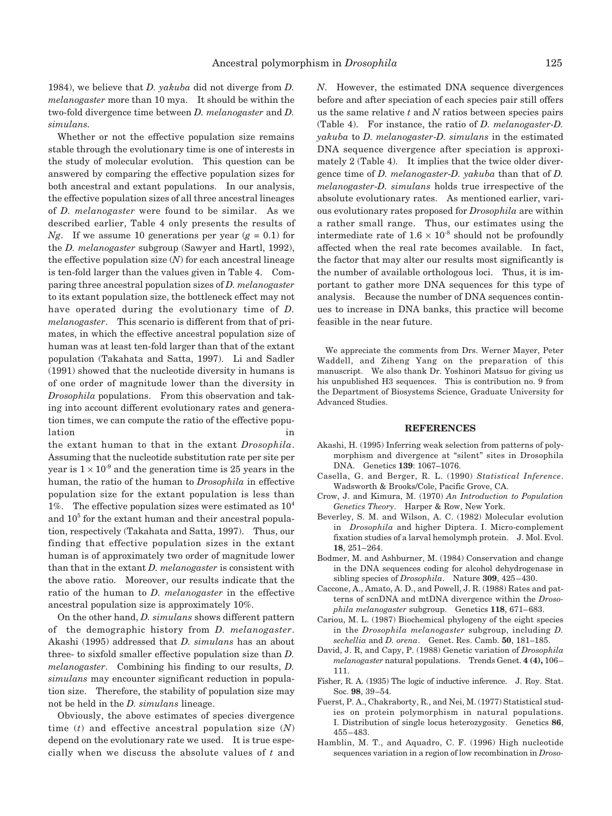1984), we believe that *D. yakuba* did not diverge from *D. melanogaster* more than 10 mya. It should be within the two-fold divergence time between *D. melanogaster* and *D. simulans.*

Whether or not the effective population size remains stable through the evolutionary time is one of interests in the study of molecular evolution. This question can be answered by comparing the effective population sizes for both ancestral and extant populations. In our analysis, the effective population sizes of all three ancestral lineages of *D. melanogaster* were found to be similar. As we described earlier, Table 4 only presents the results of *Ng*. If we assume 10 generations per year  $(g = 0.1)$  for the *D. melanogaster* subgroup (Sawyer and Hartl, 1992), the effective population size (*N*) for each ancestral lineage is ten-fold larger than the values given in Table 4. Comparing three ancestral population sizes of *D. melanogaster* to its extant population size, the bottleneck effect may not have operated during the evolutionary time of *D. melanogaster*. This scenario is different from that of primates, in which the effective ancestral population size of human was at least ten-fold larger than that of the extant population (Takahata and Satta, 1997). Li and Sadler (1991) showed that the nucleotide diversity in humans is of one order of magnitude lower than the diversity in *Drosophila* populations. From this observation and taking into account different evolutionary rates and generation times, we can compute the ratio of the effective population in the contract of the contract of  $\mathbf{u}$ 

the extant human to that in the extant *Drosophila*. Assuming that the nucleotide substitution rate per site per year is  $1 \times 10^{-9}$  and the generation time is 25 years in the human, the ratio of the human to *Drosophila* in effective population size for the extant population is less than 1%. The effective population sizes were estimated as  $10^4$ and  $10<sup>5</sup>$  for the extant human and their ancestral population, respectively (Takahata and Satta, 1997). Thus, our finding that effective population sizes in the extant human is of approximately two order of magnitude lower than that in the extant *D. melanogaster* is consistent with the above ratio. Moreover, our results indicate that the ratio of the human to *D. melanogaster* in the effective ancestral population size is approximately 10%.

On the other hand, *D. simulans* shows different pattern of the demographic history from *D. melanogaster*. Akashi (1995) addressed that *D. simulans* has an about three- to sixfold smaller effective population size than *D. melanogaster*. Combining his finding to our results, *D. simulans* may encounter significant reduction in population size. Therefore, the stability of population size may not be held in the *D. simulans* lineage.

Obviously, the above estimates of species divergence time (*t*) and effective ancestral population size (*N*) depend on the evolutionary rate we used. It is true especially when we discuss the absolute values of *t* and *N*. However, the estimated DNA sequence divergences before and after speciation of each species pair still offers us the same relative *t* and *N* ratios between species pairs (Table 4). For instance, the ratio of *D. melanogaster*-*D. yakuba* to *D. melanogaster*-*D. simulans* in the estimated DNA sequence divergence after speciation is approximately 2 (Table 4). It implies that the twice older divergence time of *D. melanogaster*-*D. yakuba* than that of *D. melanogaster*-*D. simulans* holds true irrespective of the absolute evolutionary rates. As mentioned earlier, various evolutionary rates proposed for *Drosophila* are within a rather small range. Thus, our estimates using the intermediate rate of  $1.6 \times 10^{-8}$  should not be profoundly affected when the real rate becomes available. In fact, the factor that may alter our results most significantly is the number of available orthologous loci. Thus, it is important to gather more DNA sequences for this type of analysis. Because the number of DNA sequences continues to increase in DNA banks, this practice will become feasible in the near future.

We appreciate the comments from Drs. Werner Mayer, Peter Waddell, and Ziheng Yang on the preparation of this manuscript. We also thank Dr. Yoshinori Matsuo for giving us his unpublished H3 sequences. This is contribution no. 9 from the Department of Biosystems Science, Graduate University for Advanced Studies.

# **REFERENCES**

- Akashi, H. (1995) Inferring weak selection from patterns of polymorphism and divergence at "silent" sites in Drosophila DNA. Genetics **139**: 1067–1076.
- Casella, G. and Berger, R. L. (1990) *Statistical Inference*. Wadsworth & Brooks/Cole, Pacific Grove, CA.
- Crow, J. and Kimura, M. (1970) *An Introduction to Population Genetics Theory*. Harper & Row, New York.
- Beverley, S. M. and Wilson, A. C. (1982) Molecular evolution in *Drosophila* and higher Diptera. I. Micro-complement fixation studies of a larval hemolymph protein. J. Mol. Evol. **18**, 251–264.
- Bodmer, M. and Ashburner, M. (1984) Conservation and change in the DNA sequences coding for alcohol dehydrogenase in sibling species of *Drosophila*. Nature **309**, 425–430.
- Caccone, A., Amato, A. D., and Powell, J. R. (1988) Rates and patterns of scnDNA and mtDNA divergence within the *Drosophila melanogaster* subgroup. Genetics **118**, 671–683.
- Cariou, M. L. (1987) Biochemical phylogeny of the eight species in the *Drosophila melanogaster* subgroup, including *D. sechellia* and *D. orena*. Genet. Res. Camb. **50**, 181–185.
- David, J. R, and Capy, P. (1988) Genetic variation of *Drosophila melanogaster* natural populations. Trends Genet. **4 (4),** 106– 111.
- Fisher, R. A. (1935) The logic of inductive inference. J. Roy. Stat. Soc. **98**, 39–54.
- Fuerst, P. A., Chakraborty, R., and Nei, M. (1977) Statistical studies on protein polymorphism in natural populations. I. Distribution of single locus heterozygosity. Genetics **86**, 455–483.
- Hamblin, M. T., and Aquadro, C. F. (1996) High nucleotide sequences variation in a region of low recombination in *Droso-*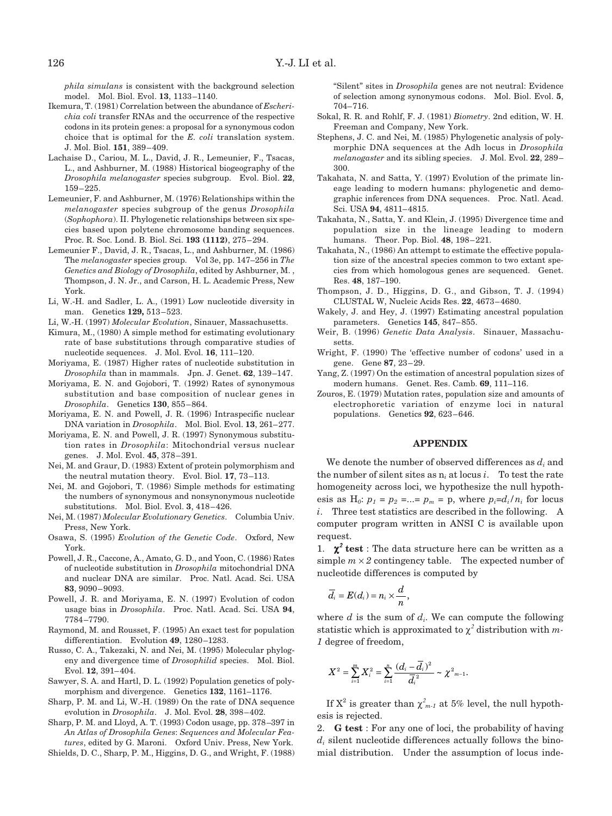*phila simulans* is consistent with the background selection model. Mol. Biol. Evol. **13**, 1133–1140.

- Ikemura, T. (1981) Correlation between the abundance of *Escherichia coli* transfer RNAs and the occurrence of the respective codons in its protein genes: a proposal for a synonymous codon choice that is optimal for the *E. coli* translation system. J. Mol. Biol. **151**, 389–409.
- Lachaise D., Cariou, M. L., David, J. R., Lemeunier, F., Tsacas, L., and Ashburner, M. (1988) Historical biogeography of the *Drosophila melanogaster* species subgroup. Evol. Biol. **22**, 159–225.
- Lemeunier, F. and Ashburner, M. (1976) Relationships within the *melanogaster* species subgroup of the genus *Drosophila* (*Sophophora*). II. Phylogenetic relationships between six species based upon polytene chromosome banding sequences. Proc. R. Soc. Lond. B. Biol. Sci. **193 (1112)**, 275–294.
- Lemeunier F., David, J. R., Tsacas, L., and Ashburner, M. (1986) The *melanogaster* species group. Vol 3e, pp. 147–256 in *The Genetics and Biology of Drosophila*, edited by Ashburner, M. , Thompson, J. N. Jr., and Carson, H. L. Academic Press, New York.
- Li, W.-H. and Sadler, L. A., (1991) Low nucleotide diversity in man. Genetics **129,** 513–523.
- Li, W.-H. (1997) *Molecular Evolution*, Sinauer, Massachusetts.
- Kimura, M., (1980) A simple method for estimating evolutionary rate of base substitutions through comparative studies of nucleotide sequences. J. Mol. Evol. **16**, 111–120.
- Moriyama, E. (1987) Higher rates of nucleotide substitution in *Drosophila* than in mammals. Jpn. J. Genet. **62**, 139–147.
- Moriyama, E. N. and Gojobori, T. (1992) Rates of synonymous substitution and base composition of nuclear genes in *Drosophila*. Genetics **130**, 855–864.
- Moriyama, E. N. and Powell, J. R. (1996) Intraspecific nuclear DNA variation in *Drosophila*. Mol. Biol. Evol. **13**, 261–277.
- Moriyama, E. N. and Powell, J. R. (1997) Synonymous substitution rates in *Drosophila*: Mitochondrial versus nuclear genes. J. Mol. Evol. **45**, 378–391.
- Nei, M. and Graur, D. (1983) Extent of protein polymorphism and the neutral mutation theory. Evol. Biol. **17**, 73–113.
- Nei, M. and Gojobori, T. (1986) Simple methods for estimating the numbers of synonymous and nonsynonymous nucleotide substitutions. Mol. Biol. Evol. **3**, 418–426.
- Nei, M. (1987) *Molecular Evolutionary Genetics*. Columbia Univ. Press, New York.
- Osawa, S. (1995) *Evolution of the Genetic Code*. Oxford, New York.
- Powell, J. R., Caccone, A., Amato, G. D., and Yoon, C. (1986) Rates of nucleotide substitution in *Drosophila* mitochondrial DNA and nuclear DNA are similar. Proc. Natl. Acad. Sci. USA **83**, 9090–9093.
- Powell, J. R. and Moriyama, E. N. (1997) Evolution of codon usage bias in *Drosophila*. Proc. Natl. Acad. Sci. USA **94**, 7784–7790.
- Raymond, M. and Rousset, F. (1995) An exact test for population differentiation. Evolution **49**, 1280–1283.
- Russo, C. A., Takezaki, N. and Nei, M. (1995) Molecular phylogeny and divergence time of *Drosophilid* species. Mol. Biol. Evol. **12**, 391–404.
- Sawyer, S. A. and Hartl, D. L. (1992) Population genetics of polymorphism and divergence. Genetics **132**, 1161–1176.
- Sharp, P. M. and Li, W.-H. (1989) On the rate of DNA sequence evolution in *Drosophila*. J. Mol. Evol. **28**, 398–402.
- Sharp, P. M. and Lloyd, A. T. (1993) Codon usage, pp. 378–397 in *An Atlas of Drosophila Genes*: *Sequences and Molecular Features*, edited by G. Maroni. Oxford Univ. Press, New York.
- Shields, D. C., Sharp, P. M., Higgins, D. G., and Wright, F. (1988)

"Silent" sites in *Drosophila* genes are not neutral: Evidence of selection among synonymous codons. Mol. Biol. Evol. **5**, 704–716.

- Sokal, R. R. and Rohlf, F. J. (1981) *Biometry*. 2nd edition, W. H. Freeman and Company, New York.
- Stephens, J. C. and Nei, M. (1985) Phylogenetic analysis of polymorphic DNA sequences at the Adh locus in *Drosophila melanogaster* and its sibling species. J. Mol. Evol. **22**, 289– 300.
- Takahata, N. and Satta, Y. (1997) Evolution of the primate lineage leading to modern humans: phylogenetic and demographic inferences from DNA sequences. Proc. Natl. Acad. Sci. USA **94**, 4811–4815.
- Takahata, N., Satta, Y. and Klein, J. (1995) Divergence time and population size in the lineage leading to modern humans. Theor. Pop. Biol. **48**, 198–221.
- Takahata, N., (1986) An attempt to estimate the effective population size of the ancestral species common to two extant species from which homologous genes are sequenced. Genet. Res. **48**, 187–190.
- Thompson, J. D., Higgins, D. G., and Gibson, T. J. (1994) CLUSTAL W, Nucleic Acids Res. **22**, 4673–4680.
- Wakely, J. and Hey, J. (1997) Estimating ancestral population parameters. Genetics **145**, 847–855.
- Weir, B. (1996) *Genetic Data Analysis*. Sinauer, Massachusetts.
- Wright, F. (1990) The 'effective number of codons' used in a gene. Gene **87**, 23–29.
- Yang, Z. (1997) On the estimation of ancestral population sizes of modern humans. Genet. Res. Camb. **69**, 111–116.
- Zouros, E. (1979) Mutation rates, population size and amounts of electrophoretic variation of enzyme loci in natural populations. Genetics **92**, 623–646.

#### **APPENDIX**

We denote the number of observed differences as  $d_i$  and the number of silent sites as  $n_i$  at locus *i*. To test the rate homogeneity across loci, we hypothesize the null hypothesis as  $H_0$ :  $p_1 = p_2 = ... = p_m = p$ , where  $p_i = d_i/n_i$  for locus *i*. Three test statistics are described in the following. A computer program written in ANSI C is available upon request.

1.  $\chi^2$  test : The data structure here can be written as a simple  $m \times 2$  contingency table. The expected number of nucleotide differences is computed by

$$
\overline{d_i}=E(d_i)=n_i\times\frac{d}{n},
$$

where  $d$  is the sum of  $d_i$ . We can compute the following statistic which is approximated to  $\chi^2$  distribution with m-*1* degree of freedom,

$$
X^{2} = \sum_{i=1}^{m} X_{i}^{2} = \sum_{i=1}^{n} \frac{(d_{i} - \overline{d_{i}})^{2}}{\overline{d_{i}}^{2}} \sim \chi^{2_{m-1}}.
$$

If  $X^2$  is greater than  $\chi^2_{m-l}$  at 5% level, the null hypothesis is rejected.

2. **G test** : For any one of loci, the probability of having  $d_i$  silent nucleotide differences actually follows the binomial distribution. Under the assumption of locus inde